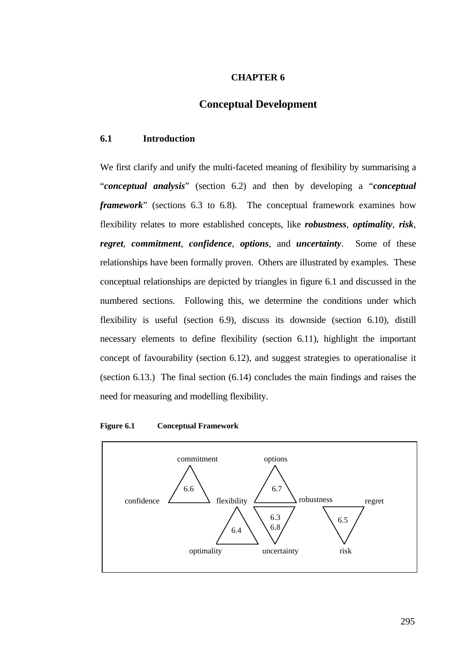# **CHAPTER 6**

# **Conceptual Development**

# **6.1 Introduction**

We first clarify and unify the multi-faceted meaning of flexibility by summarising a "*conceptual analysis*" (section 6.2) and then by developing a "*conceptual framework*" (sections 6.3 to 6.8). The conceptual framework examines how flexibility relates to more established concepts, like *robustness*, *optimality*, *risk*, *regret*, *commitment*, *confidence*, *options*, and *uncertainty*. Some of these relationships have been formally proven. Others are illustrated by examples. These conceptual relationships are depicted by triangles in figure 6.1 and discussed in the numbered sections. Following this, we determine the conditions under which flexibility is useful (section 6.9), discuss its downside (section 6.10), distill necessary elements to define flexibility (section 6.11), highlight the important concept of favourability (section 6.12), and suggest strategies to operationalise it (section 6.13.) The final section (6.14) concludes the main findings and raises the need for measuring and modelling flexibility.

#### **Figure 6.1 Conceptual Framework**

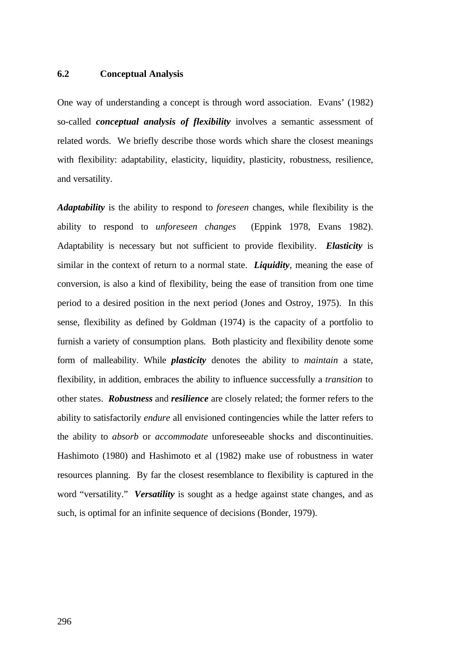# **6.2 Conceptual Analysis**

One way of understanding a concept is through word association. Evans' (1982) so-called *conceptual analysis of flexibility* involves a semantic assessment of related words. We briefly describe those words which share the closest meanings with flexibility: adaptability, elasticity, liquidity, plasticity, robustness, resilience, and versatility.

*Adaptability* is the ability to respond to *foreseen* changes, while flexibility is the ability to respond to *unforeseen changes* (Eppink 1978, Evans 1982). Adaptability is necessary but not sufficient to provide flexibility. *Elasticity* is similar in the context of return to a normal state. *Liquidity*, meaning the ease of conversion, is also a kind of flexibility, being the ease of transition from one time period to a desired position in the next period (Jones and Ostroy, 1975). In this sense, flexibility as defined by Goldman (1974) is the capacity of a portfolio to furnish a variety of consumption plans. Both plasticity and flexibility denote some form of malleability. While *plasticity* denotes the ability to *maintain* a state, flexibility, in addition, embraces the ability to influence successfully a *transition* to other states. *Robustness* and *resilience* are closely related; the former refers to the ability to satisfactorily *endure* all envisioned contingencies while the latter refers to the ability to *absorb* or *accommodate* unforeseeable shocks and discontinuities. Hashimoto (1980) and Hashimoto et al (1982) make use of robustness in water resources planning. By far the closest resemblance to flexibility is captured in the word "versatility." *Versatility* is sought as a hedge against state changes, and as such, is optimal for an infinite sequence of decisions (Bonder, 1979).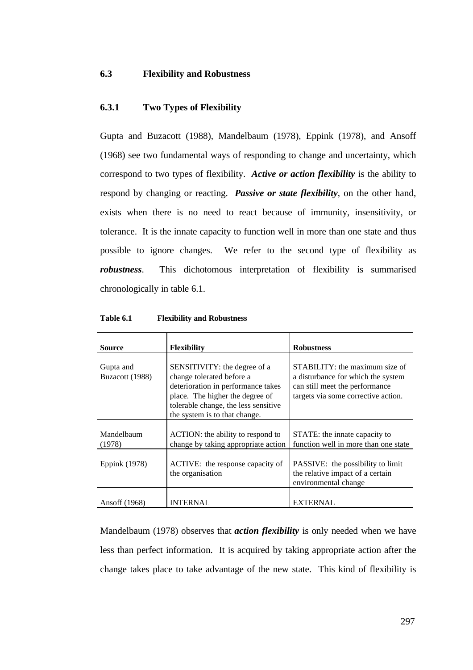# **6.3 Flexibility and Robustness**

# **6.3.1 Two Types of Flexibility**

Gupta and Buzacott (1988), Mandelbaum (1978), Eppink (1978), and Ansoff (1968) see two fundamental ways of responding to change and uncertainty, which correspond to two types of flexibility. *Active or action flexibility* is the ability to respond by changing or reacting. *Passive or state flexibility*, on the other hand, exists when there is no need to react because of immunity, insensitivity, or tolerance. It is the innate capacity to function well in more than one state and thus possible to ignore changes. We refer to the second type of flexibility as *robustness*. This dichotomous interpretation of flexibility is summarised chronologically in table 6.1.

| <b>Source</b>                | <b>Flexibility</b>                                                                                                                                                                                          | <b>Robustness</b>                                                                                                                             |
|------------------------------|-------------------------------------------------------------------------------------------------------------------------------------------------------------------------------------------------------------|-----------------------------------------------------------------------------------------------------------------------------------------------|
| Gupta and<br>Buzacott (1988) | SENSITIVITY: the degree of a<br>change tolerated before a<br>deterioration in performance takes<br>place. The higher the degree of<br>tolerable change, the less sensitive<br>the system is to that change. | STABILITY: the maximum size of<br>a disturbance for which the system<br>can still meet the performance<br>targets via some corrective action. |
| Mandelbaum<br>(1978)         | ACTION: the ability to respond to<br>change by taking appropriate action                                                                                                                                    | STATE: the innate capacity to<br>function well in more than one state                                                                         |
| Eppink (1978)                | ACTIVE: the response capacity of<br>the organisation                                                                                                                                                        | PASSIVE: the possibility to limit<br>the relative impact of a certain<br>environmental change                                                 |
| Ansoff (1968)                | <b>INTERNAL</b>                                                                                                                                                                                             | <b>EXTERNAL</b>                                                                                                                               |

**Table 6.1 Flexibility and Robustness**

Mandelbaum (1978) observes that *action flexibility* is only needed when we have less than perfect information. It is acquired by taking appropriate action after the change takes place to take advantage of the new state. This kind of flexibility is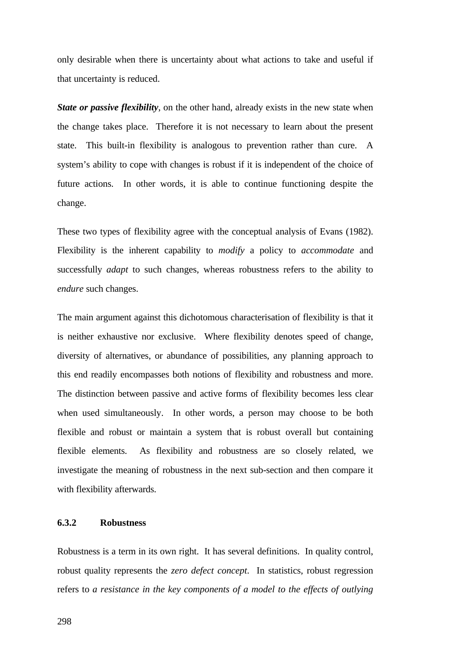only desirable when there is uncertainty about what actions to take and useful if that uncertainty is reduced.

*State or passive flexibility*, on the other hand, already exists in the new state when the change takes place. Therefore it is not necessary to learn about the present state. This built-in flexibility is analogous to prevention rather than cure. A system's ability to cope with changes is robust if it is independent of the choice of future actions. In other words, it is able to continue functioning despite the change.

These two types of flexibility agree with the conceptual analysis of Evans (1982). Flexibility is the inherent capability to *modify* a policy to *accommodate* and successfully *adapt* to such changes, whereas robustness refers to the ability to *endure* such changes.

The main argument against this dichotomous characterisation of flexibility is that it is neither exhaustive nor exclusive. Where flexibility denotes speed of change, diversity of alternatives, or abundance of possibilities, any planning approach to this end readily encompasses both notions of flexibility and robustness and more. The distinction between passive and active forms of flexibility becomes less clear when used simultaneously. In other words, a person may choose to be both flexible and robust or maintain a system that is robust overall but containing flexible elements. As flexibility and robustness are so closely related, we investigate the meaning of robustness in the next sub-section and then compare it with flexibility afterwards.

#### **6.3.2 Robustness**

Robustness is a term in its own right. It has several definitions. In quality control, robust quality represents the *zero defect concept*. In statistics, robust regression refers to *a resistance in the key components of a model to the effects of outlying*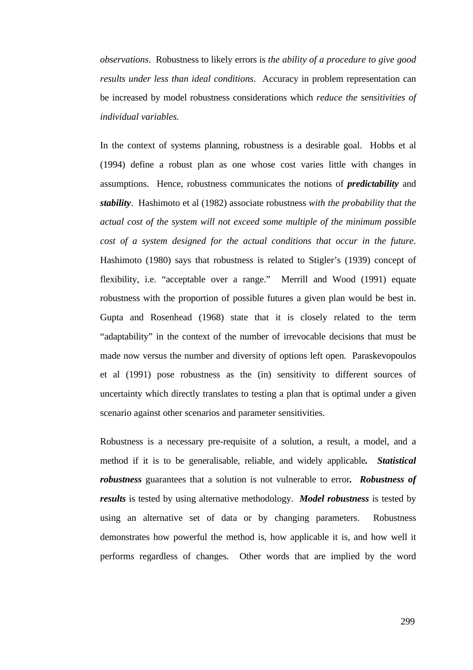*observations*. Robustness to likely errors is *the ability of a procedure to give good results under less than ideal conditions*. Accuracy in problem representation can be increased by model robustness considerations which *reduce the sensitivities of individual variables.*

In the context of systems planning, robustness is a desirable goal. Hobbs et al (1994) define a robust plan as one whose cost varies little with changes in assumptions. Hence, robustness communicates the notions of *predictability* and *stability*. Hashimoto et al (1982) associate robustness *with the probability that the actual cost of the system will not exceed some multiple of the minimum possible cost of a system designed for the actual conditions that occur in the future*. Hashimoto (1980) says that robustness is related to Stigler's (1939) concept of flexibility, i.e. "acceptable over a range." Merrill and Wood (1991) equate robustness with the proportion of possible futures a given plan would be best in. Gupta and Rosenhead (1968) state that it is closely related to the term "adaptability" in the context of the number of irrevocable decisions that must be made now versus the number and diversity of options left open. Paraskevopoulos et al (1991) pose robustness as the (in) sensitivity to different sources of uncertainty which directly translates to testing a plan that is optimal under a given scenario against other scenarios and parameter sensitivities.

Robustness is a necessary pre-requisite of a solution, a result, a model, and a method if it is to be generalisable, reliable, and widely applicable*. Statistical robustness* guarantees that a solution is not vulnerable to error*. Robustness of results* is tested by using alternative methodology. *Model robustness* is tested by using an alternative set of data or by changing parameters. Robustness demonstrates how powerful the method is, how applicable it is, and how well it performs regardless of changes. Other words that are implied by the word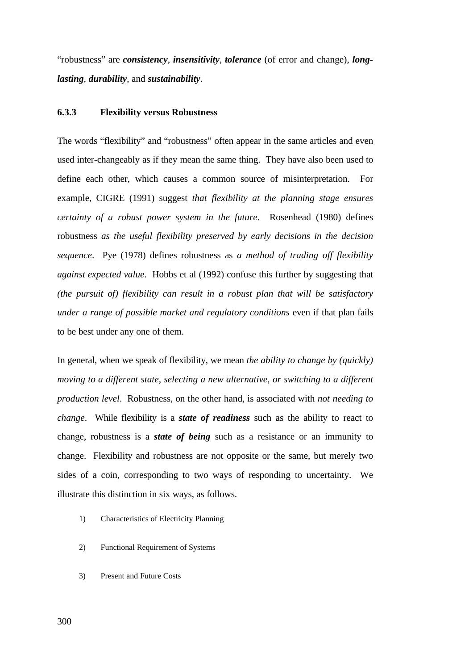"robustness" are *consistency*, *insensitivity*, *tolerance* (of error and change), *longlasting*, *durability*, and *sustainability*.

### **6.3.3 Flexibility versus Robustness**

The words "flexibility" and "robustness" often appear in the same articles and even used inter-changeably as if they mean the same thing. They have also been used to define each other, which causes a common source of misinterpretation. For example, CIGRE (1991) suggest *that flexibility at the planning stage ensures certainty of a robust power system in the future*. Rosenhead (1980) defines robustness *as the useful flexibility preserved by early decisions in the decision sequence*. Pye (1978) defines robustness as *a method of trading off flexibility against expected value*. Hobbs et al (1992) confuse this further by suggesting that *(the pursuit of) flexibility can result in a robust plan that will be satisfactory under a range of possible market and regulatory conditions* even if that plan fails to be best under any one of them.

In general, when we speak of flexibility, we mean *the ability to change by (quickly) moving to a different state, selecting a new alternative, or switching to a different production level*. Robustness, on the other hand, is associated with *not needing to change*. While flexibility is a *state of readiness* such as the ability to react to change, robustness is a *state of being* such as a resistance or an immunity to change. Flexibility and robustness are not opposite or the same, but merely two sides of a coin, corresponding to two ways of responding to uncertainty. We illustrate this distinction in six ways, as follows.

- 1) Characteristics of Electricity Planning
- 2) Functional Requirement of Systems
- 3) Present and Future Costs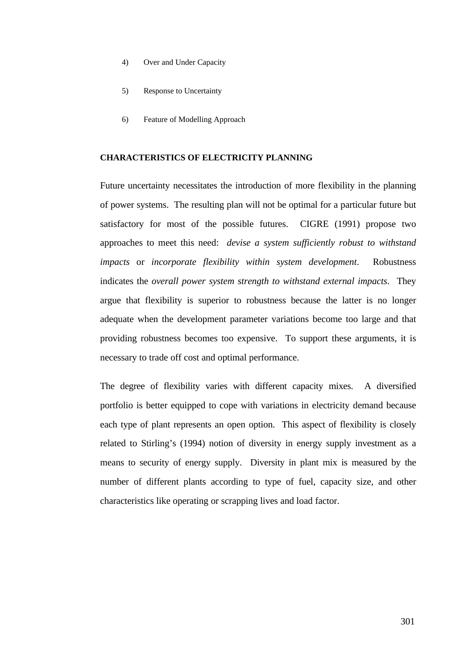- 4) Over and Under Capacity
- 5) Response to Uncertainty
- 6) Feature of Modelling Approach

#### **CHARACTERISTICS OF ELECTRICITY PLANNING**

Future uncertainty necessitates the introduction of more flexibility in the planning of power systems. The resulting plan will not be optimal for a particular future but satisfactory for most of the possible futures. CIGRE (1991) propose two approaches to meet this need: *devise a system sufficiently robust to withstand impacts* or *incorporate flexibility within system development*. Robustness indicates the *overall power system strength to withstand external impacts*. They argue that flexibility is superior to robustness because the latter is no longer adequate when the development parameter variations become too large and that providing robustness becomes too expensive. To support these arguments, it is necessary to trade off cost and optimal performance.

The degree of flexibility varies with different capacity mixes. A diversified portfolio is better equipped to cope with variations in electricity demand because each type of plant represents an open option. This aspect of flexibility is closely related to Stirling's (1994) notion of diversity in energy supply investment as a means to security of energy supply. Diversity in plant mix is measured by the number of different plants according to type of fuel, capacity size, and other characteristics like operating or scrapping lives and load factor.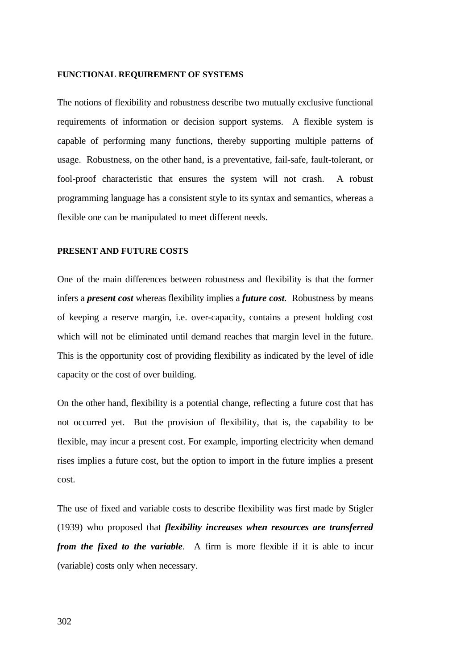#### **FUNCTIONAL REQUIREMENT OF SYSTEMS**

The notions of flexibility and robustness describe two mutually exclusive functional requirements of information or decision support systems. A flexible system is capable of performing many functions, thereby supporting multiple patterns of usage. Robustness, on the other hand, is a preventative, fail-safe, fault-tolerant, or fool-proof characteristic that ensures the system will not crash. A robust programming language has a consistent style to its syntax and semantics, whereas a flexible one can be manipulated to meet different needs.

#### **PRESENT AND FUTURE COSTS**

One of the main differences between robustness and flexibility is that the former infers a *present cost* whereas flexibility implies a *future cost*. Robustness by means of keeping a reserve margin, i.e. over-capacity, contains a present holding cost which will not be eliminated until demand reaches that margin level in the future. This is the opportunity cost of providing flexibility as indicated by the level of idle capacity or the cost of over building.

On the other hand, flexibility is a potential change, reflecting a future cost that has not occurred yet. But the provision of flexibility, that is, the capability to be flexible, may incur a present cost. For example, importing electricity when demand rises implies a future cost, but the option to import in the future implies a present cost.

The use of fixed and variable costs to describe flexibility was first made by Stigler (1939) who proposed that *flexibility increases when resources are transferred from the fixed to the variable*. A firm is more flexible if it is able to incur (variable) costs only when necessary.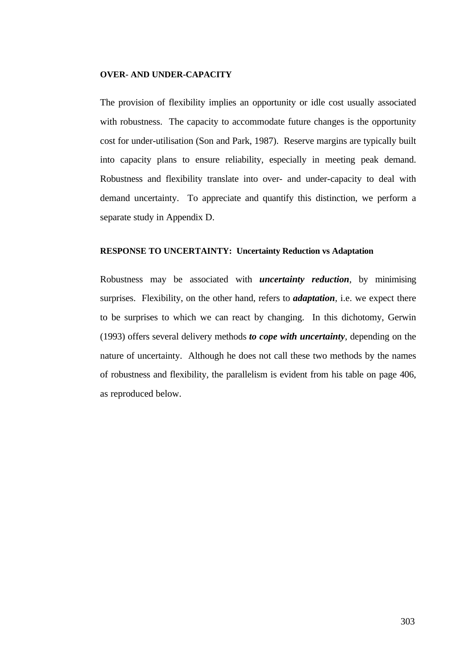#### **OVER- AND UNDER-CAPACITY**

The provision of flexibility implies an opportunity or idle cost usually associated with robustness. The capacity to accommodate future changes is the opportunity cost for under-utilisation (Son and Park, 1987). Reserve margins are typically built into capacity plans to ensure reliability, especially in meeting peak demand. Robustness and flexibility translate into over- and under-capacity to deal with demand uncertainty. To appreciate and quantify this distinction, we perform a separate study in Appendix D.

#### **RESPONSE TO UNCERTAINTY: Uncertainty Reduction vs Adaptation**

Robustness may be associated with *uncertainty reduction*, by minimising surprises. Flexibility, on the other hand, refers to *adaptation*, i.e. we expect there to be surprises to which we can react by changing. In this dichotomy, Gerwin (1993) offers several delivery methods *to cope with uncertainty*, depending on the nature of uncertainty. Although he does not call these two methods by the names of robustness and flexibility, the parallelism is evident from his table on page 406, as reproduced below.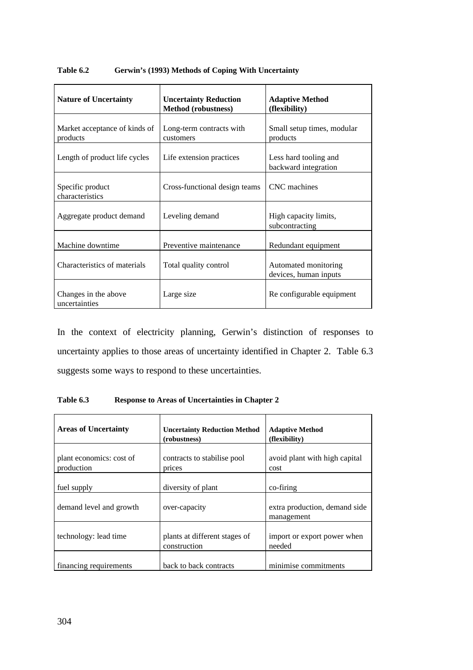| <b>Nature of Uncertainty</b>              | <b>Uncertainty Reduction</b><br><b>Method</b> (robustness) | <b>Adaptive Method</b><br>(flexibility)       |
|-------------------------------------------|------------------------------------------------------------|-----------------------------------------------|
| Market acceptance of kinds of<br>products | Long-term contracts with<br>customers                      | Small setup times, modular<br>products        |
| Length of product life cycles             | Life extension practices                                   | Less hard tooling and<br>backward integration |
| Specific product<br>characteristics       | Cross-functional design teams                              | CNC machines                                  |
| Aggregate product demand                  | Leveling demand                                            | High capacity limits,<br>subcontracting       |
| Machine downtime                          | Preventive maintenance                                     | Redundant equipment                           |
| Characteristics of materials              | Total quality control                                      | Automated monitoring<br>devices, human inputs |
| Changes in the above<br>uncertainties     | Large size                                                 | Re configurable equipment                     |

**Table 6.2 Gerwin's (1993) Methods of Coping With Uncertainty**

In the context of electricity planning, Gerwin's distinction of responses to uncertainty applies to those areas of uncertainty identified in Chapter 2. Table 6.3 suggests some ways to respond to these uncertainties.

**Table 6.3 Response to Areas of Uncertainties in Chapter 2**

| <b>Areas of Uncertainty</b>            | <b>Uncertainty Reduction Method</b><br>(robustness) | <b>Adaptive Method</b><br>(flexibility)     |
|----------------------------------------|-----------------------------------------------------|---------------------------------------------|
| plant economics: cost of<br>production | contracts to stabilise pool<br>prices               | avoid plant with high capital<br>cost       |
| fuel supply                            | diversity of plant                                  | co-firing                                   |
| demand level and growth                | over-capacity                                       | extra production, demand side<br>management |
| technology: lead time                  | plants at different stages of<br>construction       | import or export power when<br>needed       |
| financing requirements                 | back to back contracts                              | minimise commitments                        |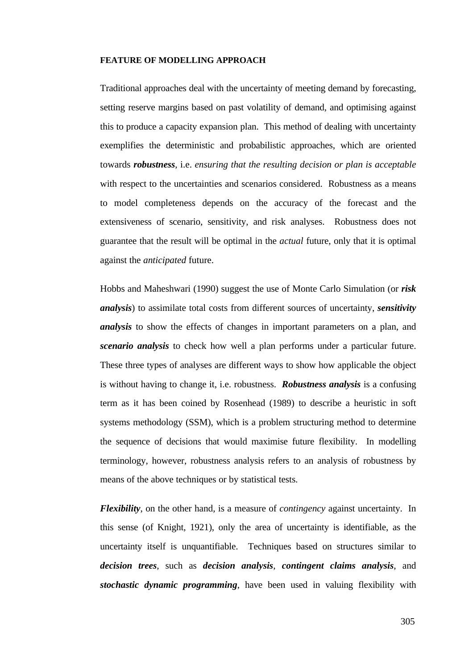#### **FEATURE OF MODELLING APPROACH**

Traditional approaches deal with the uncertainty of meeting demand by forecasting, setting reserve margins based on past volatility of demand, and optimising against this to produce a capacity expansion plan. This method of dealing with uncertainty exemplifies the deterministic and probabilistic approaches, which are oriented towards *robustness*, i.e. *ensuring that the resulting decision or plan is acceptable* with respect to the uncertainties and scenarios considered. Robustness as a means to model completeness depends on the accuracy of the forecast and the extensiveness of scenario, sensitivity, and risk analyses. Robustness does not guarantee that the result will be optimal in the *actual* future, only that it is optimal against the *anticipated* future.

Hobbs and Maheshwari (1990) suggest the use of Monte Carlo Simulation (or *risk analysis*) to assimilate total costs from different sources of uncertainty, *sensitivity analysis* to show the effects of changes in important parameters on a plan, and *scenario analysis* to check how well a plan performs under a particular future. These three types of analyses are different ways to show how applicable the object is without having to change it, i.e. robustness. *Robustness analysis* is a confusing term as it has been coined by Rosenhead (1989) to describe a heuristic in soft systems methodology (SSM), which is a problem structuring method to determine the sequence of decisions that would maximise future flexibility. In modelling terminology, however, robustness analysis refers to an analysis of robustness by means of the above techniques or by statistical tests.

*Flexibility*, on the other hand, is a measure of *contingency* against uncertainty. In this sense (of Knight, 1921), only the area of uncertainty is identifiable, as the uncertainty itself is unquantifiable. Techniques based on structures similar to *decision trees*, such as *decision analysis*, *contingent claims analysis*, and *stochastic dynamic programming*, have been used in valuing flexibility with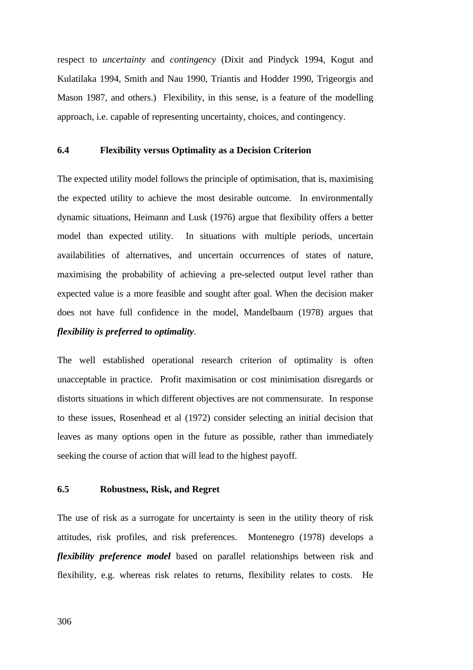respect to *uncertainty* and *contingency* (Dixit and Pindyck 1994, Kogut and Kulatilaka 1994, Smith and Nau 1990, Triantis and Hodder 1990, Trigeorgis and Mason 1987, and others.) Flexibility, in this sense, is a feature of the modelling approach, i.e. capable of representing uncertainty, choices, and contingency.

#### **6.4 Flexibility versus Optimality as a Decision Criterion**

The expected utility model follows the principle of optimisation, that is, maximising the expected utility to achieve the most desirable outcome. In environmentally dynamic situations, Heimann and Lusk (1976) argue that flexibility offers a better model than expected utility. In situations with multiple periods, uncertain availabilities of alternatives, and uncertain occurrences of states of nature, maximising the probability of achieving a pre-selected output level rather than expected value is a more feasible and sought after goal. When the decision maker does not have full confidence in the model, Mandelbaum (1978) argues that *flexibility is preferred to optimality*.

The well established operational research criterion of optimality is often unacceptable in practice. Profit maximisation or cost minimisation disregards or distorts situations in which different objectives are not commensurate. In response to these issues, Rosenhead et al (1972) consider selecting an initial decision that leaves as many options open in the future as possible, rather than immediately seeking the course of action that will lead to the highest payoff.

#### **6.5 Robustness, Risk, and Regret**

The use of risk as a surrogate for uncertainty is seen in the utility theory of risk attitudes, risk profiles, and risk preferences. Montenegro (1978) develops a *flexibility preference model* based on parallel relationships between risk and flexibility, e.g. whereas risk relates to returns, flexibility relates to costs. He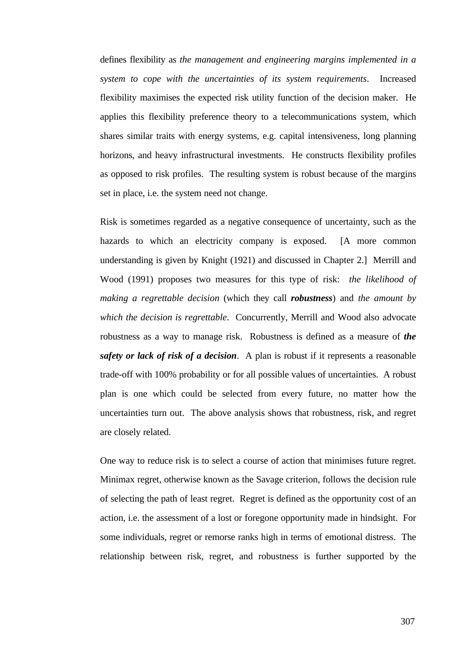defines flexibility as *the management and engineering margins implemented in a system to cope with the uncertainties of its system requirements*. Increased flexibility maximises the expected risk utility function of the decision maker. He applies this flexibility preference theory to a telecommunications system, which shares similar traits with energy systems, e.g. capital intensiveness, long planning horizons, and heavy infrastructural investments. He constructs flexibility profiles as opposed to risk profiles. The resulting system is robust because of the margins set in place, i.e. the system need not change.

Risk is sometimes regarded as a negative consequence of uncertainty, such as the hazards to which an electricity company is exposed. [A more common understanding is given by Knight (1921) and discussed in Chapter 2.] Merrill and Wood (1991) proposes two measures for this type of risk: *the likelihood of making a regrettable decision* (which they call *robustness*) and *the amount by which the decision is regrettable*. Concurrently, Merrill and Wood also advocate robustness as a way to manage risk. Robustness is defined as a measure of *the safety or lack of risk of a decision*. A plan is robust if it represents a reasonable trade-off with 100% probability or for all possible values of uncertainties. A robust plan is one which could be selected from every future, no matter how the uncertainties turn out. The above analysis shows that robustness, risk, and regret are closely related.

One way to reduce risk is to select a course of action that minimises future regret. Minimax regret, otherwise known as the Savage criterion, follows the decision rule of selecting the path of least regret. Regret is defined as the opportunity cost of an action, i.e. the assessment of a lost or foregone opportunity made in hindsight. For some individuals, regret or remorse ranks high in terms of emotional distress. The relationship between risk, regret, and robustness is further supported by the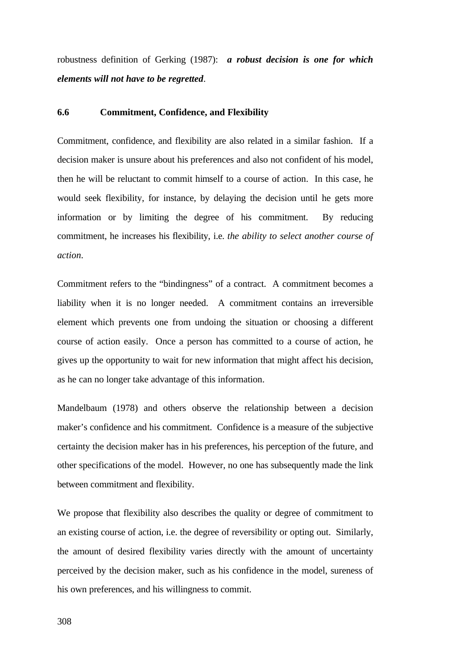robustness definition of Gerking (1987): *a robust decision is one for which elements will not have to be regretted*.

## **6.6 Commitment, Confidence, and Flexibility**

Commitment, confidence, and flexibility are also related in a similar fashion. If a decision maker is unsure about his preferences and also not confident of his model, then he will be reluctant to commit himself to a course of action. In this case, he would seek flexibility, for instance, by delaying the decision until he gets more information or by limiting the degree of his commitment. By reducing commitment, he increases his flexibility, i.e. *the ability to select another course of action*.

Commitment refers to the "bindingness" of a contract. A commitment becomes a liability when it is no longer needed. A commitment contains an irreversible element which prevents one from undoing the situation or choosing a different course of action easily. Once a person has committed to a course of action, he gives up the opportunity to wait for new information that might affect his decision, as he can no longer take advantage of this information.

Mandelbaum (1978) and others observe the relationship between a decision maker's confidence and his commitment. Confidence is a measure of the subjective certainty the decision maker has in his preferences, his perception of the future, and other specifications of the model. However, no one has subsequently made the link between commitment and flexibility.

We propose that flexibility also describes the quality or degree of commitment to an existing course of action, i.e. the degree of reversibility or opting out. Similarly, the amount of desired flexibility varies directly with the amount of uncertainty perceived by the decision maker, such as his confidence in the model, sureness of his own preferences, and his willingness to commit.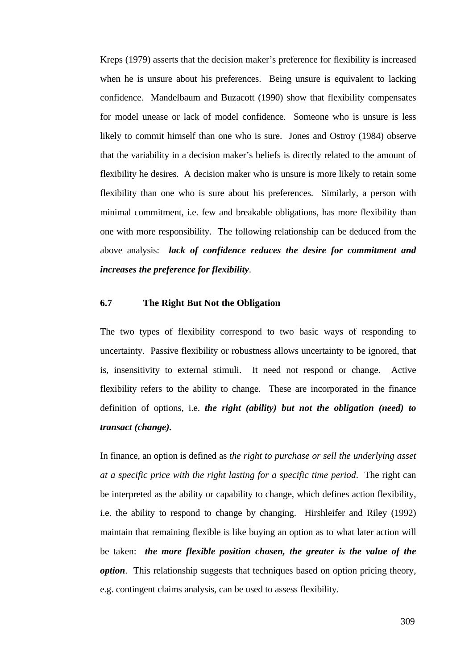Kreps (1979) asserts that the decision maker's preference for flexibility is increased when he is unsure about his preferences. Being unsure is equivalent to lacking confidence. Mandelbaum and Buzacott (1990) show that flexibility compensates for model unease or lack of model confidence. Someone who is unsure is less likely to commit himself than one who is sure. Jones and Ostroy (1984) observe that the variability in a decision maker's beliefs is directly related to the amount of flexibility he desires. A decision maker who is unsure is more likely to retain some flexibility than one who is sure about his preferences. Similarly, a person with minimal commitment, i.e. few and breakable obligations, has more flexibility than one with more responsibility. The following relationship can be deduced from the above analysis: *lack of confidence reduces the desire for commitment and increases the preference for flexibility*.

## **6.7 The Right But Not the Obligation**

The two types of flexibility correspond to two basic ways of responding to uncertainty. Passive flexibility or robustness allows uncertainty to be ignored, that is, insensitivity to external stimuli. It need not respond or change. Active flexibility refers to the ability to change. These are incorporated in the finance definition of options, i.e. *the right (ability) but not the obligation (need) to transact (change).*

In finance, an option is defined as *the right to purchase or sell the underlying asset at a specific price with the right lasting for a specific time period*. The right can be interpreted as the ability or capability to change, which defines action flexibility, i.e. the ability to respond to change by changing. Hirshleifer and Riley (1992) maintain that remaining flexible is like buying an option as to what later action will be taken: *the more flexible position chosen, the greater is the value of the option*. This relationship suggests that techniques based on option pricing theory, e.g. contingent claims analysis, can be used to assess flexibility.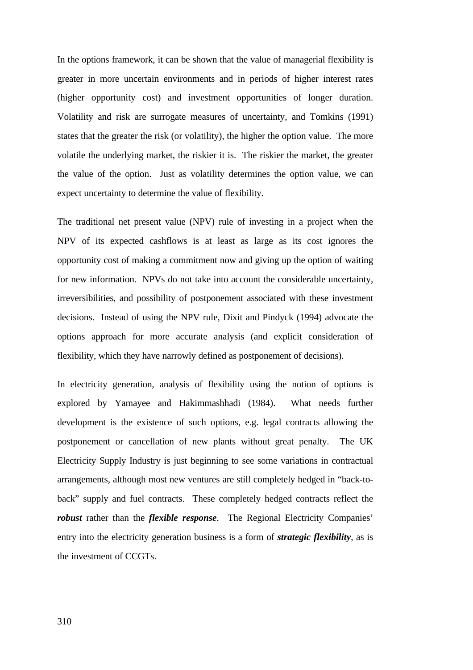In the options framework, it can be shown that the value of managerial flexibility is greater in more uncertain environments and in periods of higher interest rates (higher opportunity cost) and investment opportunities of longer duration. Volatility and risk are surrogate measures of uncertainty, and Tomkins (1991) states that the greater the risk (or volatility), the higher the option value. The more volatile the underlying market, the riskier it is. The riskier the market, the greater the value of the option. Just as volatility determines the option value, we can expect uncertainty to determine the value of flexibility.

The traditional net present value (NPV) rule of investing in a project when the NPV of its expected cashflows is at least as large as its cost ignores the opportunity cost of making a commitment now and giving up the option of waiting for new information. NPVs do not take into account the considerable uncertainty, irreversibilities, and possibility of postponement associated with these investment decisions. Instead of using the NPV rule, Dixit and Pindyck (1994) advocate the options approach for more accurate analysis (and explicit consideration of flexibility, which they have narrowly defined as postponement of decisions).

In electricity generation, analysis of flexibility using the notion of options is explored by Yamayee and Hakimmashhadi (1984). What needs further development is the existence of such options, e.g. legal contracts allowing the postponement or cancellation of new plants without great penalty. The UK Electricity Supply Industry is just beginning to see some variations in contractual arrangements, although most new ventures are still completely hedged in "back-toback" supply and fuel contracts. These completely hedged contracts reflect the *robust* rather than the *flexible response*. The Regional Electricity Companies' entry into the electricity generation business is a form of *strategic flexibility*, as is the investment of CCGTs.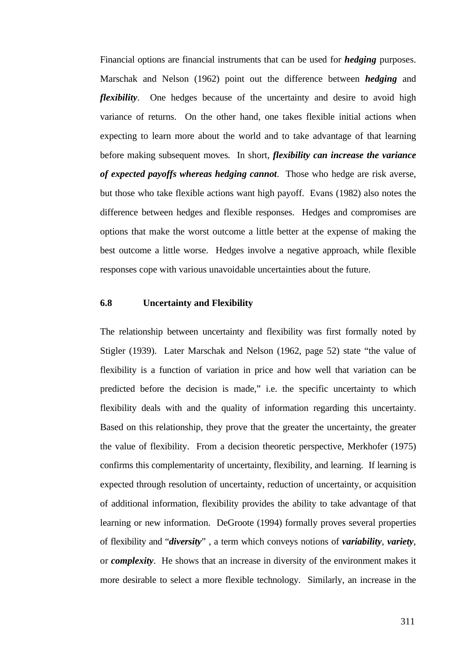Financial options are financial instruments that can be used for *hedging* purposes. Marschak and Nelson (1962) point out the difference between *hedging* and *flexibility*. One hedges because of the uncertainty and desire to avoid high variance of returns. On the other hand, one takes flexible initial actions when expecting to learn more about the world and to take advantage of that learning before making subsequent moves*.* In short, *flexibility can increase the variance of expected payoffs whereas hedging cannot*. Those who hedge are risk averse, but those who take flexible actions want high payoff. Evans (1982) also notes the difference between hedges and flexible responses. Hedges and compromises are options that make the worst outcome a little better at the expense of making the best outcome a little worse. Hedges involve a negative approach, while flexible responses cope with various unavoidable uncertainties about the future.

# **6.8 Uncertainty and Flexibility**

The relationship between uncertainty and flexibility was first formally noted by Stigler (1939). Later Marschak and Nelson (1962, page 52) state "the value of flexibility is a function of variation in price and how well that variation can be predicted before the decision is made," i.e. the specific uncertainty to which flexibility deals with and the quality of information regarding this uncertainty. Based on this relationship, they prove that the greater the uncertainty, the greater the value of flexibility. From a decision theoretic perspective, Merkhofer (1975) confirms this complementarity of uncertainty, flexibility, and learning. If learning is expected through resolution of uncertainty, reduction of uncertainty, or acquisition of additional information, flexibility provides the ability to take advantage of that learning or new information. DeGroote (1994) formally proves several properties of flexibility and "*diversity*" , a term which conveys notions of *variability*, *variety*, or *complexity*. He shows that an increase in diversity of the environment makes it more desirable to select a more flexible technology. Similarly, an increase in the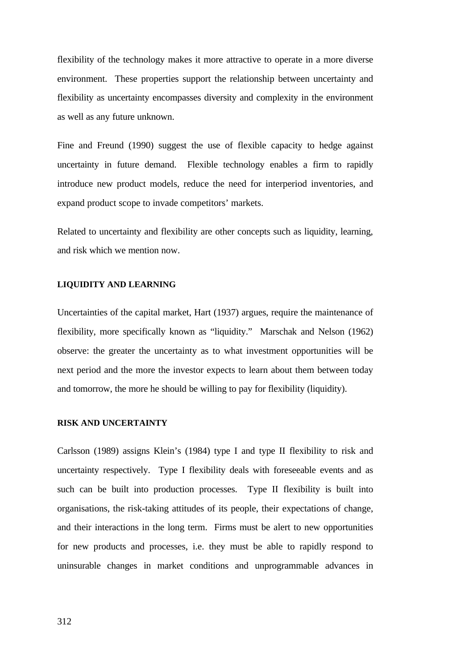flexibility of the technology makes it more attractive to operate in a more diverse environment. These properties support the relationship between uncertainty and flexibility as uncertainty encompasses diversity and complexity in the environment as well as any future unknown.

Fine and Freund (1990) suggest the use of flexible capacity to hedge against uncertainty in future demand. Flexible technology enables a firm to rapidly introduce new product models, reduce the need for interperiod inventories, and expand product scope to invade competitors' markets.

Related to uncertainty and flexibility are other concepts such as liquidity, learning, and risk which we mention now.

# **LIQUIDITY AND LEARNING**

Uncertainties of the capital market, Hart (1937) argues, require the maintenance of flexibility, more specifically known as "liquidity." Marschak and Nelson (1962) observe: the greater the uncertainty as to what investment opportunities will be next period and the more the investor expects to learn about them between today and tomorrow, the more he should be willing to pay for flexibility (liquidity).

#### **RISK AND UNCERTAINTY**

Carlsson (1989) assigns Klein's (1984) type I and type II flexibility to risk and uncertainty respectively. Type I flexibility deals with foreseeable events and as such can be built into production processes. Type II flexibility is built into organisations, the risk-taking attitudes of its people, their expectations of change, and their interactions in the long term. Firms must be alert to new opportunities for new products and processes, i.e. they must be able to rapidly respond to uninsurable changes in market conditions and unprogrammable advances in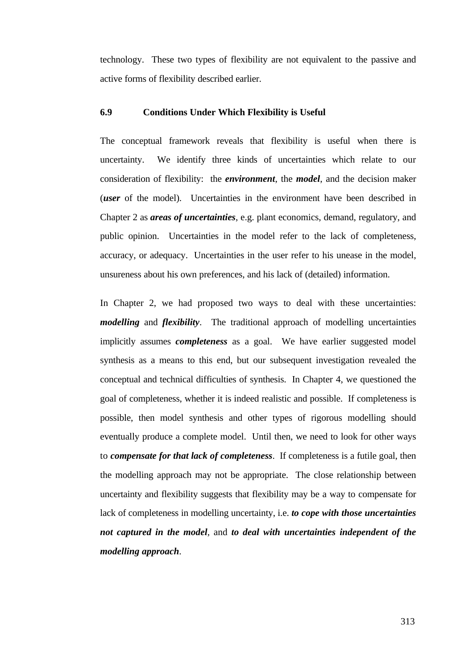technology. These two types of flexibility are not equivalent to the passive and active forms of flexibility described earlier.

### **6.9 Conditions Under Which Flexibility is Useful**

The conceptual framework reveals that flexibility is useful when there is uncertainty. We identify three kinds of uncertainties which relate to our consideration of flexibility: the *environment*, the *model*, and the decision maker (*user* of the model). Uncertainties in the environment have been described in Chapter 2 as *areas of uncertainties*, e.g. plant economics, demand, regulatory, and public opinion. Uncertainties in the model refer to the lack of completeness, accuracy, or adequacy. Uncertainties in the user refer to his unease in the model, unsureness about his own preferences, and his lack of (detailed) information.

In Chapter 2, we had proposed two ways to deal with these uncertainties: *modelling* and *flexibility*. The traditional approach of modelling uncertainties implicitly assumes *completeness* as a goal. We have earlier suggested model synthesis as a means to this end, but our subsequent investigation revealed the conceptual and technical difficulties of synthesis. In Chapter 4, we questioned the goal of completeness, whether it is indeed realistic and possible. If completeness is possible, then model synthesis and other types of rigorous modelling should eventually produce a complete model. Until then, we need to look for other ways to *compensate for that lack of completeness*. If completeness is a futile goal, then the modelling approach may not be appropriate. The close relationship between uncertainty and flexibility suggests that flexibility may be a way to compensate for lack of completeness in modelling uncertainty, i.e. *to cope with those uncertainties not captured in the model*, and *to deal with uncertainties independent of the modelling approach*.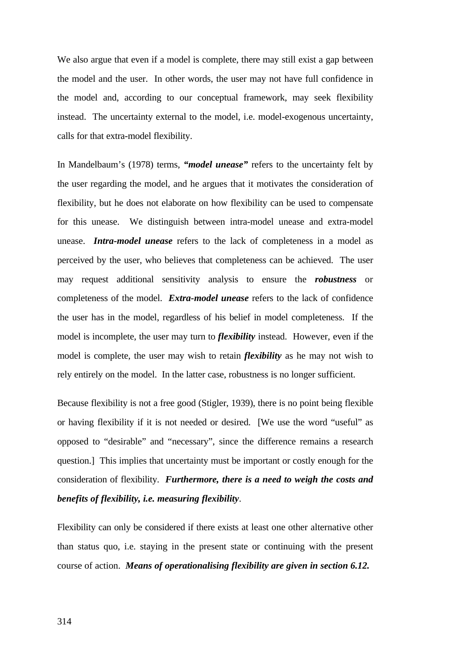We also argue that even if a model is complete, there may still exist a gap between the model and the user. In other words, the user may not have full confidence in the model and, according to our conceptual framework, may seek flexibility instead. The uncertainty external to the model, i.e. model-exogenous uncertainty, calls for that extra-model flexibility.

In Mandelbaum's (1978) terms, *"model unease"* refers to the uncertainty felt by the user regarding the model, and he argues that it motivates the consideration of flexibility, but he does not elaborate on how flexibility can be used to compensate for this unease. We distinguish between intra-model unease and extra-model unease. *Intra-model unease* refers to the lack of completeness in a model as perceived by the user, who believes that completeness can be achieved. The user may request additional sensitivity analysis to ensure the *robustness* or completeness of the model. *Extra-model unease* refers to the lack of confidence the user has in the model, regardless of his belief in model completeness. If the model is incomplete, the user may turn to *flexibility* instead. However, even if the model is complete, the user may wish to retain *flexibility* as he may not wish to rely entirely on the model. In the latter case, robustness is no longer sufficient.

Because flexibility is not a free good (Stigler, 1939), there is no point being flexible or having flexibility if it is not needed or desired. [We use the word "useful" as opposed to "desirable" and "necessary", since the difference remains a research question.] This implies that uncertainty must be important or costly enough for the consideration of flexibility. *Furthermore, there is a need to weigh the costs and benefits of flexibility, i.e. measuring flexibility*.

Flexibility can only be considered if there exists at least one other alternative other than status quo, i.e. staying in the present state or continuing with the present course of action. *Means of operationalising flexibility are given in section 6.12.*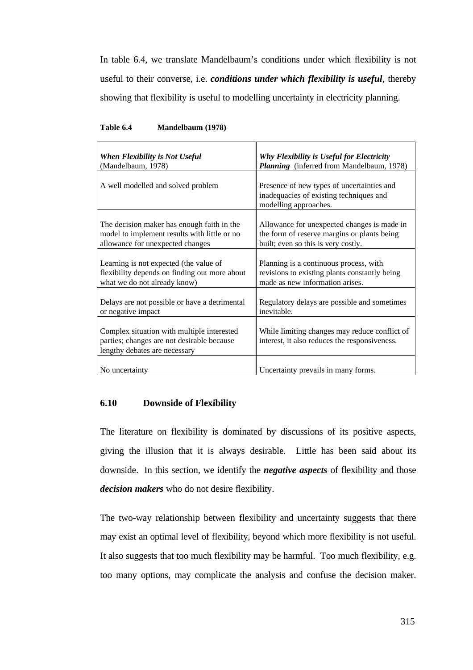In table 6.4, we translate Mandelbaum's conditions under which flexibility is not useful to their converse, i.e. *conditions under which flexibility is useful*, thereby showing that flexibility is useful to modelling uncertainty in electricity planning.

| When Flexibility is Not Useful                                                                                            | Why Flexibility is Useful for Electricity                                                                      |
|---------------------------------------------------------------------------------------------------------------------------|----------------------------------------------------------------------------------------------------------------|
| (Mandelbaum, 1978)                                                                                                        | Planning (inferred from Mandelbaum, 1978)                                                                      |
| A well modelled and solved problem                                                                                        | Presence of new types of uncertainties and<br>inadequacies of existing techniques and<br>modelling approaches. |
| The decision maker has enough faith in the                                                                                | Allowance for unexpected changes is made in                                                                    |
| model to implement results with little or no                                                                              | the form of reserve margins or plants being                                                                    |
| allowance for unexpected changes                                                                                          | built; even so this is very costly.                                                                            |
| Learning is not expected (the value of                                                                                    | Planning is a continuous process, with                                                                         |
| flexibility depends on finding out more about                                                                             | revisions to existing plants constantly being                                                                  |
| what we do not already know)                                                                                              | made as new information arises.                                                                                |
| Delays are not possible or have a detrimental                                                                             | Regulatory delays are possible and sometimes                                                                   |
| or negative impact                                                                                                        | inevitable.                                                                                                    |
| Complex situation with multiple interested<br>parties; changes are not desirable because<br>lengthy debates are necessary | While limiting changes may reduce conflict of<br>interest, it also reduces the responsiveness.                 |
| No uncertainty                                                                                                            | Uncertainty prevails in many forms.                                                                            |

#### **Table 6.4 Mandelbaum (1978)**

# **6.10 Downside of Flexibility**

The literature on flexibility is dominated by discussions of its positive aspects, giving the illusion that it is always desirable. Little has been said about its downside. In this section, we identify the *negative aspects* of flexibility and those *decision makers* who do not desire flexibility.

The two-way relationship between flexibility and uncertainty suggests that there may exist an optimal level of flexibility, beyond which more flexibility is not useful. It also suggests that too much flexibility may be harmful. Too much flexibility, e.g. too many options, may complicate the analysis and confuse the decision maker.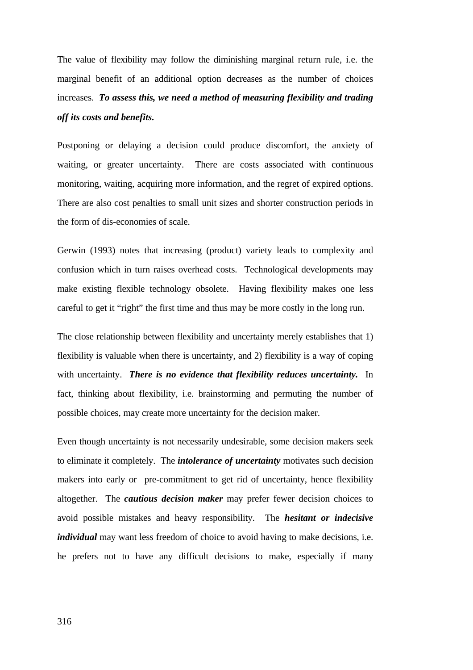The value of flexibility may follow the diminishing marginal return rule, i.e. the marginal benefit of an additional option decreases as the number of choices increases. *To assess this, we need a method of measuring flexibility and trading off its costs and benefits.*

Postponing or delaying a decision could produce discomfort, the anxiety of waiting, or greater uncertainty. There are costs associated with continuous monitoring, waiting, acquiring more information, and the regret of expired options. There are also cost penalties to small unit sizes and shorter construction periods in the form of dis-economies of scale.

Gerwin (1993) notes that increasing (product) variety leads to complexity and confusion which in turn raises overhead costs. Technological developments may make existing flexible technology obsolete. Having flexibility makes one less careful to get it "right" the first time and thus may be more costly in the long run.

The close relationship between flexibility and uncertainty merely establishes that 1) flexibility is valuable when there is uncertainty, and 2) flexibility is a way of coping with uncertainty. *There is no evidence that flexibility reduces uncertainty.* In fact, thinking about flexibility, i.e. brainstorming and permuting the number of possible choices, may create more uncertainty for the decision maker.

Even though uncertainty is not necessarily undesirable, some decision makers seek to eliminate it completely. The *intolerance of uncertainty* motivates such decision makers into early or pre-commitment to get rid of uncertainty, hence flexibility altogether. The *cautious decision maker* may prefer fewer decision choices to avoid possible mistakes and heavy responsibility. The *hesitant or indecisive individual* may want less freedom of choice to avoid having to make decisions, i.e. he prefers not to have any difficult decisions to make, especially if many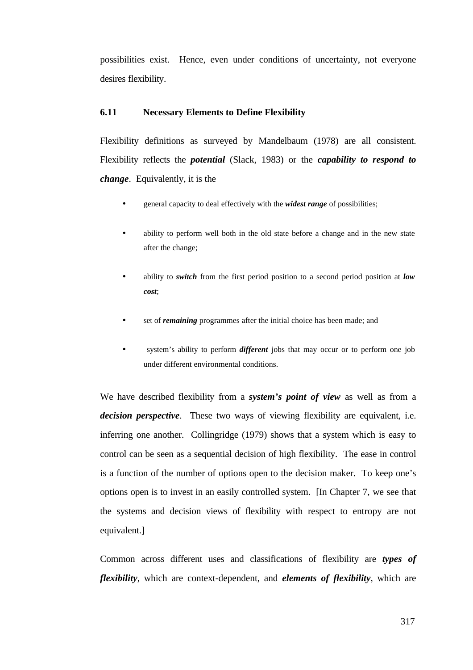possibilities exist. Hence, even under conditions of uncertainty, not everyone desires flexibility.

### **6.11 Necessary Elements to Define Flexibility**

Flexibility definitions as surveyed by Mandelbaum (1978) are all consistent. Flexibility reflects the *potential* (Slack, 1983) or the *capability to respond to change*. Equivalently, it is the

- general capacity to deal effectively with the *widest range* of possibilities;
- ability to perform well both in the old state before a change and in the new state after the change;
- ability to *switch* from the first period position to a second period position at *low cost*;
- set of *remaining* programmes after the initial choice has been made; and
- system's ability to perform *different* jobs that may occur or to perform one job under different environmental conditions.

We have described flexibility from a *system's point of view* as well as from a *decision perspective*. These two ways of viewing flexibility are equivalent, i.e. inferring one another. Collingridge (1979) shows that a system which is easy to control can be seen as a sequential decision of high flexibility. The ease in control is a function of the number of options open to the decision maker. To keep one's options open is to invest in an easily controlled system. [In Chapter 7, we see that the systems and decision views of flexibility with respect to entropy are not equivalent.]

Common across different uses and classifications of flexibility are *types of flexibility*, which are context-dependent, and *elements of flexibility*, which are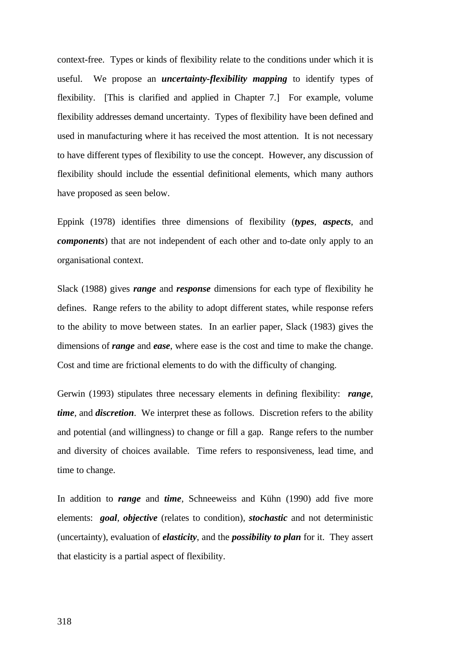context-free. Types or kinds of flexibility relate to the conditions under which it is useful. We propose an *uncertainty-flexibility mapping* to identify types of flexibility. [This is clarified and applied in Chapter 7.] For example, volume flexibility addresses demand uncertainty. Types of flexibility have been defined and used in manufacturing where it has received the most attention. It is not necessary to have different types of flexibility to use the concept. However, any discussion of flexibility should include the essential definitional elements, which many authors have proposed as seen below.

Eppink (1978) identifies three dimensions of flexibility (*types*, *aspects*, and *components*) that are not independent of each other and to-date only apply to an organisational context.

Slack (1988) gives *range* and *response* dimensions for each type of flexibility he defines. Range refers to the ability to adopt different states, while response refers to the ability to move between states. In an earlier paper, Slack (1983) gives the dimensions of *range* and *ease*, where ease is the cost and time to make the change. Cost and time are frictional elements to do with the difficulty of changing.

Gerwin (1993) stipulates three necessary elements in defining flexibility: *range*, *time*, and *discretion*. We interpret these as follows. Discretion refers to the ability and potential (and willingness) to change or fill a gap. Range refers to the number and diversity of choices available. Time refers to responsiveness, lead time, and time to change.

In addition to *range* and *time*, Schneeweiss and Kühn (1990) add five more elements: *goal*, *objective* (relates to condition), *stochastic* and not deterministic (uncertainty), evaluation of *elasticity*, and the *possibility to plan* for it. They assert that elasticity is a partial aspect of flexibility.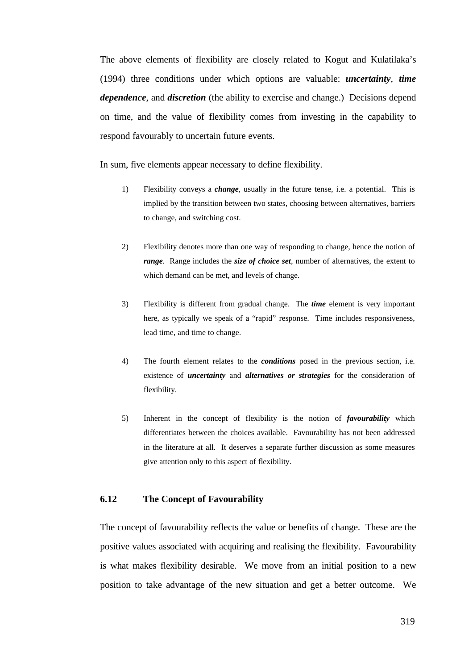The above elements of flexibility are closely related to Kogut and Kulatilaka's (1994) three conditions under which options are valuable: *uncertainty*, *time dependence*, and *discretion* (the ability to exercise and change.) Decisions depend on time, and the value of flexibility comes from investing in the capability to respond favourably to uncertain future events.

In sum, five elements appear necessary to define flexibility.

- 1) Flexibility conveys a *change*, usually in the future tense, i.e. a potential. This is implied by the transition between two states, choosing between alternatives, barriers to change, and switching cost.
- 2) Flexibility denotes more than one way of responding to change, hence the notion of *range*. Range includes the *size of choice set*, number of alternatives, the extent to which demand can be met, and levels of change.
- 3) Flexibility is different from gradual change. The *time* element is very important here, as typically we speak of a "rapid" response. Time includes responsiveness, lead time, and time to change.
- 4) The fourth element relates to the *conditions* posed in the previous section, i.e. existence of *uncertainty* and *alternatives or strategies* for the consideration of flexibility.
- 5) Inherent in the concept of flexibility is the notion of *favourability* which differentiates between the choices available. Favourability has not been addressed in the literature at all. It deserves a separate further discussion as some measures give attention only to this aspect of flexibility.

## **6.12 The Concept of Favourability**

The concept of favourability reflects the value or benefits of change. These are the positive values associated with acquiring and realising the flexibility. Favourability is what makes flexibility desirable. We move from an initial position to a new position to take advantage of the new situation and get a better outcome. We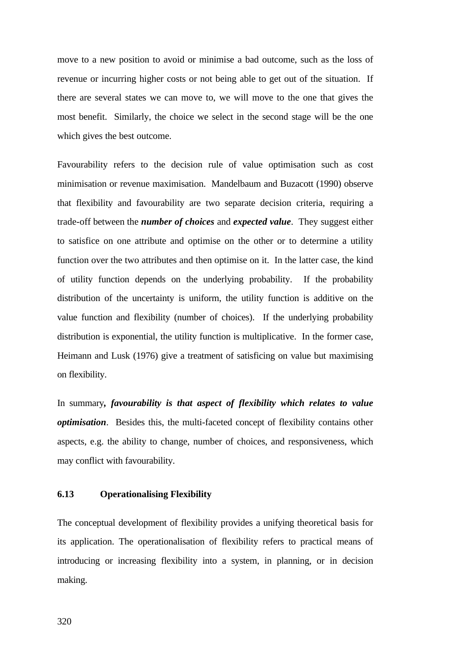move to a new position to avoid or minimise a bad outcome, such as the loss of revenue or incurring higher costs or not being able to get out of the situation. If there are several states we can move to, we will move to the one that gives the most benefit. Similarly, the choice we select in the second stage will be the one which gives the best outcome.

Favourability refers to the decision rule of value optimisation such as cost minimisation or revenue maximisation. Mandelbaum and Buzacott (1990) observe that flexibility and favourability are two separate decision criteria, requiring a trade-off between the *number of choices* and *expected value*. They suggest either to satisfice on one attribute and optimise on the other or to determine a utility function over the two attributes and then optimise on it. In the latter case, the kind of utility function depends on the underlying probability. If the probability distribution of the uncertainty is uniform, the utility function is additive on the value function and flexibility (number of choices). If the underlying probability distribution is exponential, the utility function is multiplicative. In the former case, Heimann and Lusk (1976) give a treatment of satisficing on value but maximising on flexibility.

In summary*, favourability is that aspect of flexibility which relates to value optimisation*. Besides this, the multi-faceted concept of flexibility contains other aspects, e.g. the ability to change, number of choices, and responsiveness, which may conflict with favourability.

# **6.13 Operationalising Flexibility**

The conceptual development of flexibility provides a unifying theoretical basis for its application. The operationalisation of flexibility refers to practical means of introducing or increasing flexibility into a system, in planning, or in decision making.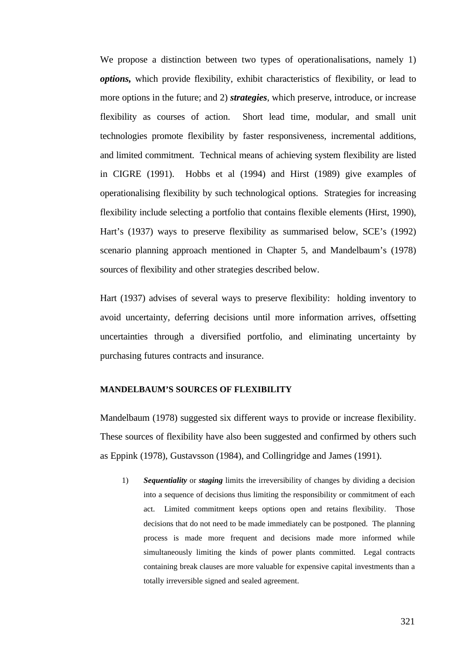We propose a distinction between two types of operationalisations, namely 1) *options,* which provide flexibility, exhibit characteristics of flexibility, or lead to more options in the future; and 2) *strategies*, which preserve, introduce, or increase flexibility as courses of action. Short lead time, modular, and small unit technologies promote flexibility by faster responsiveness, incremental additions, and limited commitment. Technical means of achieving system flexibility are listed in CIGRE (1991). Hobbs et al (1994) and Hirst (1989) give examples of operationalising flexibility by such technological options. Strategies for increasing flexibility include selecting a portfolio that contains flexible elements (Hirst, 1990), Hart's (1937) ways to preserve flexibility as summarised below, SCE's (1992) scenario planning approach mentioned in Chapter 5, and Mandelbaum's (1978) sources of flexibility and other strategies described below.

Hart (1937) advises of several ways to preserve flexibility: holding inventory to avoid uncertainty, deferring decisions until more information arrives, offsetting uncertainties through a diversified portfolio, and eliminating uncertainty by purchasing futures contracts and insurance.

# **MANDELBAUM'S SOURCES OF FLEXIBILITY**

Mandelbaum (1978) suggested six different ways to provide or increase flexibility. These sources of flexibility have also been suggested and confirmed by others such as Eppink (1978), Gustavsson (1984), and Collingridge and James (1991).

1) *Sequentiality* or *staging* limits the irreversibility of changes by dividing a decision into a sequence of decisions thus limiting the responsibility or commitment of each act. Limited commitment keeps options open and retains flexibility. Those decisions that do not need to be made immediately can be postponed. The planning process is made more frequent and decisions made more informed while simultaneously limiting the kinds of power plants committed. Legal contracts containing break clauses are more valuable for expensive capital investments than a totally irreversible signed and sealed agreement.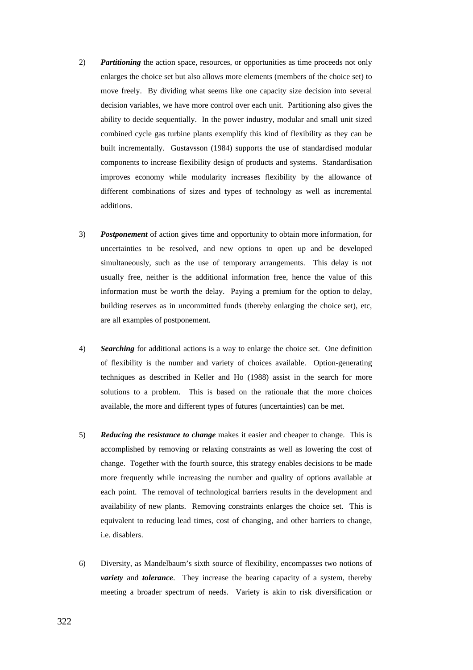- 2) *Partitioning* the action space, resources, or opportunities as time proceeds not only enlarges the choice set but also allows more elements (members of the choice set) to move freely. By dividing what seems like one capacity size decision into several decision variables, we have more control over each unit. Partitioning also gives the ability to decide sequentially. In the power industry, modular and small unit sized combined cycle gas turbine plants exemplify this kind of flexibility as they can be built incrementally. Gustavsson (1984) supports the use of standardised modular components to increase flexibility design of products and systems. Standardisation improves economy while modularity increases flexibility by the allowance of different combinations of sizes and types of technology as well as incremental additions.
- 3) *Postponement* of action gives time and opportunity to obtain more information, for uncertainties to be resolved, and new options to open up and be developed simultaneously, such as the use of temporary arrangements. This delay is not usually free, neither is the additional information free, hence the value of this information must be worth the delay. Paying a premium for the option to delay, building reserves as in uncommitted funds (thereby enlarging the choice set), etc, are all examples of postponement.
- 4) *Searching* for additional actions is a way to enlarge the choice set. One definition of flexibility is the number and variety of choices available. Option-generating techniques as described in Keller and Ho (1988) assist in the search for more solutions to a problem. This is based on the rationale that the more choices available, the more and different types of futures (uncertainties) can be met.
- 5) *Reducing the resistance to change* makes it easier and cheaper to change. This is accomplished by removing or relaxing constraints as well as lowering the cost of change. Together with the fourth source, this strategy enables decisions to be made more frequently while increasing the number and quality of options available at each point. The removal of technological barriers results in the development and availability of new plants. Removing constraints enlarges the choice set. This is equivalent to reducing lead times, cost of changing, and other barriers to change, i.e. disablers.
- 6) Diversity, as Mandelbaum's sixth source of flexibility, encompasses two notions of *variety* and *tolerance*. They increase the bearing capacity of a system, thereby meeting a broader spectrum of needs. Variety is akin to risk diversification or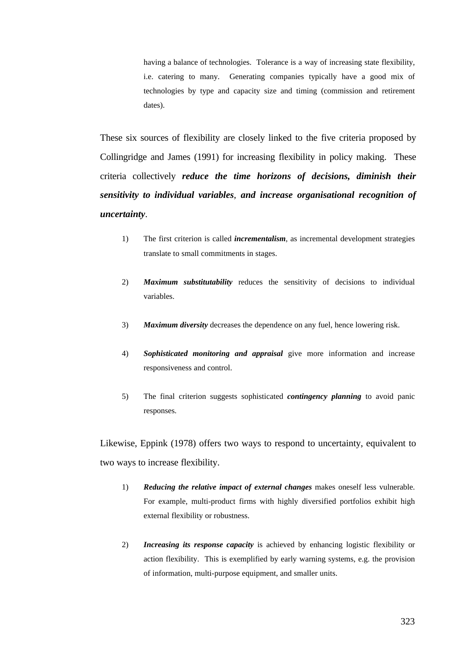having a balance of technologies. Tolerance is a way of increasing state flexibility, i.e. catering to many. Generating companies typically have a good mix of technologies by type and capacity size and timing (commission and retirement dates).

These six sources of flexibility are closely linked to the five criteria proposed by Collingridge and James (1991) for increasing flexibility in policy making. These criteria collectively *reduce the time horizons of decisions, diminish their sensitivity to individual variables*, *and increase organisational recognition of uncertainty*.

- 1) The first criterion is called *incrementalism*, as incremental development strategies translate to small commitments in stages.
- 2) *Maximum substitutability* reduces the sensitivity of decisions to individual variables.
- 3) *Maximum diversity* decreases the dependence on any fuel, hence lowering risk.
- 4) *Sophisticated monitoring and appraisal* give more information and increase responsiveness and control.
- 5) The final criterion suggests sophisticated *contingency planning* to avoid panic responses.

Likewise, Eppink (1978) offers two ways to respond to uncertainty, equivalent to two ways to increase flexibility.

- 1) *Reducing the relative impact of external changes* makes oneself less vulnerable. For example, multi-product firms with highly diversified portfolios exhibit high external flexibility or robustness.
- 2) *Increasing its response capacity* is achieved by enhancing logistic flexibility or action flexibility. This is exemplified by early warning systems, e.g. the provision of information, multi-purpose equipment, and smaller units.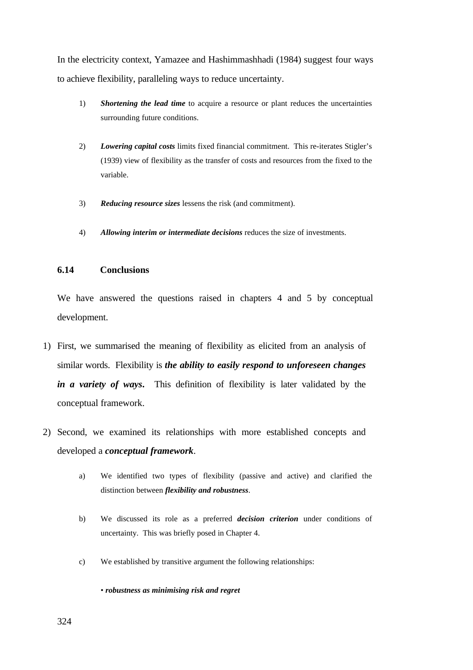In the electricity context, Yamazee and Hashimmashhadi (1984) suggest four ways to achieve flexibility, paralleling ways to reduce uncertainty.

- 1) *Shortening the lead time* to acquire a resource or plant reduces the uncertainties surrounding future conditions.
- 2) *Lowering capital costs* limits fixed financial commitment. This re-iterates Stigler's (1939) view of flexibility as the transfer of costs and resources from the fixed to the variable.
- 3) *Reducing resource sizes* lessens the risk (and commitment).
- 4) *Allowing interim or intermediate decisions* reduces the size of investments.

# **6.14 Conclusions**

We have answered the questions raised in chapters 4 and 5 by conceptual development.

- 1) First, we summarised the meaning of flexibility as elicited from an analysis of similar words. Flexibility is *the ability to easily respond to unforeseen changes in a variety of ways***.** This definition of flexibility is later validated by the conceptual framework.
- 2) Second, we examined its relationships with more established concepts and developed a *conceptual framework*.
	- a) We identified two types of flexibility (passive and active) and clarified the distinction between *flexibility and robustness*.
	- b) We discussed its role as a preferred *decision criterion* under conditions of uncertainty. This was briefly posed in Chapter 4.
	- c) We established by transitive argument the following relationships:

• *robustness as minimising risk and regret*